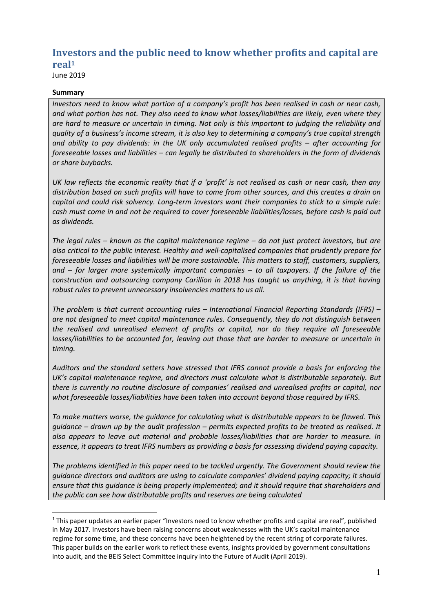# **Investors and the public need to know whether profits and capital are real<sup>1</sup>**

June 2019

#### **Summary**

1

*Investors need to know what portion of a company's profit has been realised in cash or near cash, and what portion has not. They also need to know what losses/liabilities are likely, even where they are hard to measure or uncertain in timing. Not only is this important to judging the reliability and quality of a business's income stream, it is also key to determining a company's true capital strength and ability to pay dividends: in the UK only accumulated realised profits – after accounting for foreseeable losses and liabilities – can legally be distributed to shareholders in the form of dividends or share buybacks.* 

*UK law reflects the economic reality that if a 'profit' is not realised as cash or near cash, then any distribution based on such profits will have to come from other sources, and this creates a drain on capital and could risk solvency. Long-term investors want their companies to stick to a simple rule: cash must come in and not be required to cover foreseeable liabilities/losses, before cash is paid out as dividends.* 

*The legal rules – known as the capital maintenance regime – do not just protect investors, but are also critical to the public interest. Healthy and well-capitalised companies that prudently prepare for foreseeable losses and liabilities will be more sustainable. This matters to staff, customers, suppliers, and – for larger more systemically important companies – to all taxpayers. If the failure of the construction and outsourcing company Carillion in 2018 has taught us anything, it is that having robust rules to prevent unnecessary insolvencies matters to us all.* 

*The problem is that current accounting rules – International Financial Reporting Standards (IFRS) – are not designed to meet capital maintenance rules. Consequently, they do not distinguish between the realised and unrealised element of profits or capital, nor do they require all foreseeable losses/liabilities to be accounted for, leaving out those that are harder to measure or uncertain in timing.* 

*Auditors and the standard setters have stressed that IFRS cannot provide a basis for enforcing the UK's capital maintenance regime, and directors must calculate what is distributable separately. But there is currently no routine disclosure of companies' realised and unrealised profits or capital, nor what foreseeable losses/liabilities have been taken into account beyond those required by IFRS.* 

*To make matters worse, the guidance for calculating what is distributable appears to be flawed. This guidance – drawn up by the audit profession – permits expected profits to be treated as realised. It also appears to leave out material and probable losses/liabilities that are harder to measure. In essence, it appears to treat IFRS numbers as providing a basis for assessing dividend paying capacity.*

*The problems identified in this paper need to be tackled urgently. The Government should review the guidance directors and auditors are using to calculate companies' dividend paying capacity; it should ensure that this guidance is being properly implemented; and it should require that shareholders and the public can see how distributable profits and reserves are being calculated*

 $1$  This paper updates an earlier paper "Investors need to know whether profits and capital are real", published in May 2017. Investors have been raising concerns about weaknesses with the UK's capital maintenance regime for some time, and these concerns have been heightened by the recent string of corporate failures. This paper builds on the earlier work to reflect these events, insights provided by government consultations into audit, and the BEIS Select Committee inquiry into the Future of Audit (April 2019).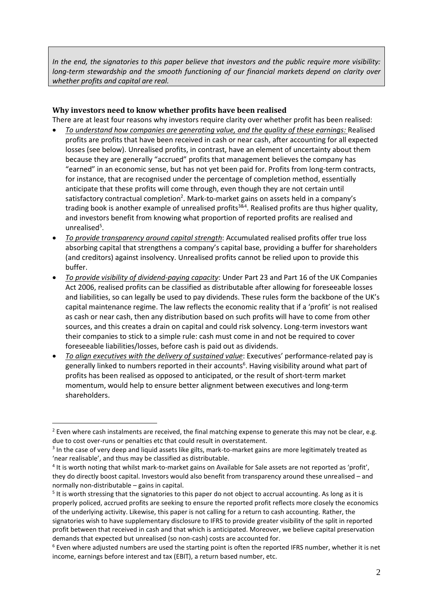*In the end, the signatories to this paper believe that investors and the public require more visibility: long-term stewardship and the smooth functioning of our financial markets depend on clarity over whether profits and capital are real.*

# **Why investors need to know whether profits have been realised**

There are at least four reasons why investors require clarity over whether profit has been realised:

- *To understand how companies are generating value, and the quality of these earnings:* Realised profits are profits that have been received in cash or near cash, after accounting for all expected losses (see below). Unrealised profits, in contrast, have an element of uncertainty about them because they are generally "accrued" profits that management believes the company has "earned" in an economic sense, but has not yet been paid for. Profits from long-term contracts, for instance, that are recognised under the percentage of completion method, essentially anticipate that these profits will come through, even though they are not certain until satisfactory contractual completion<sup>2</sup>. Mark-to-market gains on assets held in a company's trading book is another example of unrealised profits<sup>3&4</sup>. Realised profits are thus higher quality, and investors benefit from knowing what proportion of reported profits are realised and unrealised<sup>5</sup>.
- *To provide transparency around capital strength*: Accumulated realised profits offer true loss absorbing capital that strengthens a company's capital base, providing a buffer for shareholders (and creditors) against insolvency. Unrealised profits cannot be relied upon to provide this buffer.
- *To provide visibility of dividend-paying capacity*: Under Part 23 and Part 16 of the UK Companies Act 2006, realised profits can be classified as distributable after allowing for foreseeable losses and liabilities, so can legally be used to pay dividends. These rules form the backbone of the UK's capital maintenance regime. The law reflects the economic reality that if a 'profit' is not realised as cash or near cash, then any distribution based on such profits will have to come from other sources, and this creates a drain on capital and could risk solvency. Long-term investors want their companies to stick to a simple rule: cash must come in and not be required to cover foreseeable liabilities/losses, before cash is paid out as dividends.
- *To align executives with the delivery of sustained value*: Executives' performance-related pay is generally linked to numbers reported in their accounts<sup>6</sup>. Having visibility around what part of profits has been realised as opposed to anticipated, or the result of short-term market momentum, would help to ensure better alignment between executives and long-term shareholders.

1

<sup>&</sup>lt;sup>2</sup> Even where cash instalments are received, the final matching expense to generate this may not be clear, e.g. due to cost over-runs or penalties etc that could result in overstatement.

<sup>&</sup>lt;sup>3</sup> In the case of very deep and liquid assets like gilts, mark-to-market gains are more legitimately treated as 'near realisable', and thus may be classified as distributable.

<sup>&</sup>lt;sup>4</sup> It is worth noting that whilst mark-to-market gains on Available for Sale assets are not reported as 'profit', they do directly boost capital. Investors would also benefit from transparency around these unrealised – and normally non-distributable – gains in capital.

<sup>&</sup>lt;sup>5</sup> It is worth stressing that the signatories to this paper do not object to accrual accounting. As long as it is properly policed, accrued profits are seeking to ensure the reported profit reflects more closely the economics of the underlying activity. Likewise, this paper is not calling for a return to cash accounting. Rather, the signatories wish to have supplementary disclosure to IFRS to provide greater visibility of the split in reported profit between that received in cash and that which is anticipated. Moreover, we believe capital preservation demands that expected but unrealised (so non-cash) costs are accounted for.

 $6$  Even where adjusted numbers are used the starting point is often the reported IFRS number, whether it is net income, earnings before interest and tax (EBIT), a return based number, etc.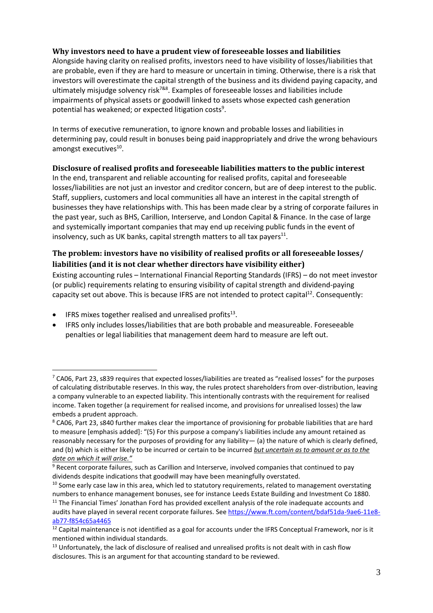## **Why investors need to have a prudent view of foreseeable losses and liabilities**

Alongside having clarity on realised profits, investors need to have visibility of losses/liabilities that are probable, even if they are hard to measure or uncertain in timing. Otherwise, there is a risk that investors will overestimate the capital strength of the business and its dividend paying capacity, and ultimately misjudge solvency risk<sup>7&8</sup>. Examples of foreseeable losses and liabilities include impairments of physical assets or goodwill linked to assets whose expected cash generation potential has weakened; or expected litigation costs<sup>9</sup>.

In terms of executive remuneration, to ignore known and probable losses and liabilities in determining pay, could result in bonuses being paid inappropriately and drive the wrong behaviours amongst executives<sup>10</sup>.

## **Disclosure of realised profits and foreseeable liabilities matters to the public interest**

In the end, transparent and reliable accounting for realised profits, capital and foreseeable losses/liabilities are not just an investor and creditor concern, but are of deep interest to the public. Staff, suppliers, customers and local communities all have an interest in the capital strength of businesses they have relationships with. This has been made clear by a string of corporate failures in the past year, such as BHS, Carillion, Interserve, and London Capital & Finance. In the case of large and systemically important companies that may end up receiving public funds in the event of insolvency, such as UK banks, capital strength matters to all tax payers $^{11}$ .

# **The problem: investors have no visibility of realised profits or all foreseeable losses/ liabilities (and it is not clear whether directors have visibility either)**

Existing accounting rules – International Financial Reporting Standards (IFRS) – do not meet investor (or public) requirements relating to ensuring visibility of capital strength and dividend-paying capacity set out above. This is because IFRS are not intended to protect capital<sup>12</sup>. Consequently:

 $\bullet$  IFRS mixes together realised and unrealised profits<sup>13</sup>.

1

• IFRS only includes losses/liabilities that are both probable and measureable. Foreseeable penalties or legal liabilities that management deem hard to measure are left out.

 $7$  CA06, Part 23, s839 requires that expected losses/liabilities are treated as "realised losses" for the purposes of calculating distributable reserves. In this way, the rules protect shareholders from over-distribution, leaving a company vulnerable to an expected liability. This intentionally contrasts with the requirement for realised income. Taken together (a requirement for realised income, and provisions for unrealised losses) the law embeds a prudent approach.

<sup>8</sup> CA06, Part 23, s840 further makes clear the importance of provisioning for probable liabilities that are hard to measure [emphasis added]: "(5) For this purpose a company's liabilities include any amount retained as reasonably necessary for the purposes of providing for any liability— (a) the nature of which is clearly defined, and (b) which is either likely to be incurred or certain to be incurred *but uncertain as to amount or as to the date on which it will arise."*

<sup>&</sup>lt;sup>9</sup> Recent corporate failures, such as Carillion and Interserve, involved companies that continued to pay dividends despite indications that goodwill may have been meaningfully overstated.

 $10$  Some early case law in this area, which led to statutory requirements, related to management overstating numbers to enhance management bonuses, see for instance Leeds Estate Building and Investment Co 1880.

<sup>&</sup>lt;sup>11</sup> The Financial Times' Jonathan Ford has provided excellent analysis of the role inadequate accounts and audits have played in several recent corporate failures. See [https://www.ft.com/content/bdaf51da-9ae6-11e8](https://www.ft.com/content/bdaf51da-9ae6-11e8-ab77-f854c65a4465) [ab77-f854c65a4465](https://www.ft.com/content/bdaf51da-9ae6-11e8-ab77-f854c65a4465)

<sup>&</sup>lt;sup>12</sup> Capital maintenance is not identified as a goal for accounts under the IFRS Conceptual Framework, nor is it mentioned within individual standards.

<sup>&</sup>lt;sup>13</sup> Unfortunately, the lack of disclosure of realised and unrealised profits is not dealt with in cash flow disclosures. This is an argument for that accounting standard to be reviewed.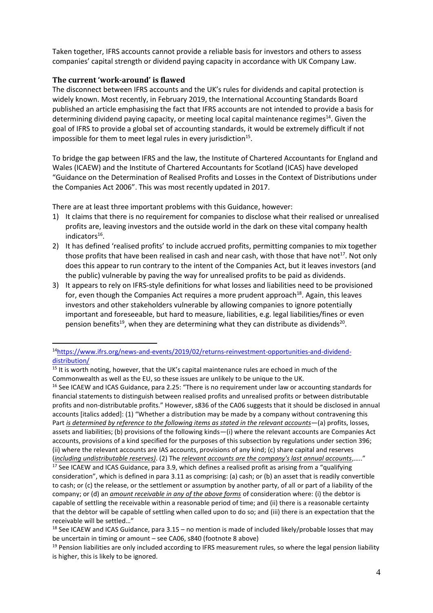Taken together, IFRS accounts cannot provide a reliable basis for investors and others to assess companies' capital strength or dividend paying capacity in accordance with UK Company Law.

## **The current 'work-around' is flawed**

1

The disconnect between IFRS accounts and the UK's rules for dividends and capital protection is widely known. Most recently, in February 2019, the International Accounting Standards Board published an article emphasising the fact that IFRS accounts are not intended to provide a basis for determining dividend paying capacity, or meeting local capital maintenance regimes<sup>14</sup>. Given the goal of IFRS to provide a global set of accounting standards, it would be extremely difficult if not impossible for them to meet legal rules in every jurisdiction $^{15}$ .

To bridge the gap between IFRS and the law, the Institute of Chartered Accountants for England and Wales (ICAEW) and the Institute of Chartered Accountants for Scotland (ICAS) have developed "Guidance on the Determination of Realised Profits and Losses in the Context of Distributions under the Companies Act 2006". This was most recently updated in 2017.

There are at least three important problems with this Guidance, however:

- 1) It claims that there is no requirement for companies to disclose what their realised or unrealised profits are, leaving investors and the outside world in the dark on these vital company health indicators<sup>16</sup>.
- 2) It has defined 'realised profits' to include accrued profits, permitting companies to mix together those profits that have been realised in cash and near cash, with those that have not<sup>17</sup>. Not only does this appear to run contrary to the intent of the Companies Act, but it leaves investors (and the public) vulnerable by paving the way for unrealised profits to be paid as dividends.
- 3) It appears to rely on IFRS-style definitions for what losses and liabilities need to be provisioned for, even though the Companies Act requires a more prudent approach<sup>18</sup>. Again, this leaves investors and other stakeholders vulnerable by allowing companies to ignore potentially important and foreseeable, but hard to measure, liabilities, e.g. legal liabilities/fines or even pension benefits<sup>19</sup>, when they are determining what they can distribute as dividends<sup>20</sup>.

<sup>14</sup>[https://www.ifrs.org/news-and-events/2019/02/returns-reinvestment-opportunities-and-dividend](https://www.ifrs.org/news-and-events/2019/02/returns-reinvestment-opportunities-and-dividend-distribution/)[distribution/](https://www.ifrs.org/news-and-events/2019/02/returns-reinvestment-opportunities-and-dividend-distribution/)

<sup>&</sup>lt;sup>15</sup> It is worth noting, however, that the UK's capital maintenance rules are echoed in much of the Commonwealth as well as the EU, so these issues are unlikely to be unique to the UK.

<sup>&</sup>lt;sup>16</sup> See ICAEW and ICAS Guidance, para 2.25: "There is no requirement under law or accounting standards for financial statements to distinguish between realised profits and unrealised profits or between distributable profits and non-distributable profits." However, s836 of the CA06 suggests that it should be disclosed in annual accounts [italics added]: (1) "Whether a distribution may be made by a company without contravening this Part *is determined by reference to the following items as stated in the relevant accounts*—(a) profits, losses, assets and liabilities; (b) provisions of the following kinds—(i) where the relevant accounts are Companies Act accounts, provisions of a kind specified for the purposes of this subsection by regulations under section 396; (ii) where the relevant accounts are IAS accounts, provisions of any kind; (c) share capital and reserves (*including undistributable reserves)*. (2) The *relevant accounts are the company's last annual accounts*,….."

<sup>&</sup>lt;sup>17</sup> See ICAEW and ICAS Guidance, para 3.9, which defines a realised profit as arising from a "qualifying consideration", which is defined in para 3.11 as comprising: (a) cash; or (b) an asset that is readily convertible to cash; or (c) the release, or the settlement or assumption by another party, of all or part of a liability of the company; or (d) an *amount receivable in any of the above forms* of consideration where: (i) the debtor is capable of settling the receivable within a reasonable period of time; and (ii) there is a reasonable certainty that the debtor will be capable of settling when called upon to do so; and (iii) there is an expectation that the receivable will be settled…"

<sup>&</sup>lt;sup>18</sup> See ICAEW and ICAS Guidance, para  $3.15$  – no mention is made of included likely/probable losses that may be uncertain in timing or amount – see CA06, s840 (footnote 8 above)

 $19$  Pension liabilities are only included according to IFRS measurement rules, so where the legal pension liability is higher, this is likely to be ignored.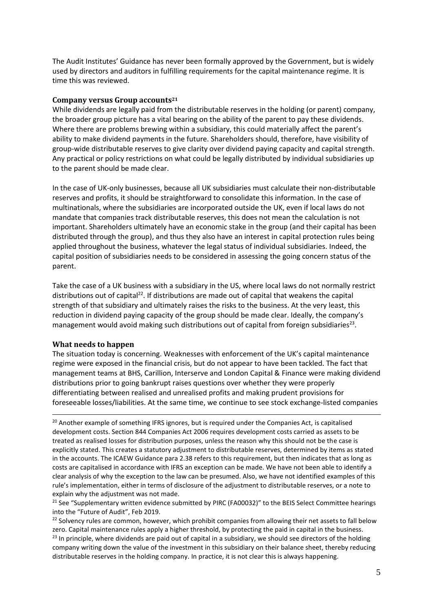The Audit Institutes' Guidance has never been formally approved by the Government, but is widely used by directors and auditors in fulfilling requirements for the capital maintenance regime. It is time this was reviewed.

#### **Company versus Group accounts<sup>21</sup>**

While dividends are legally paid from the distributable reserves in the holding (or parent) company, the broader group picture has a vital bearing on the ability of the parent to pay these dividends. Where there are problems brewing within a subsidiary, this could materially affect the parent's ability to make dividend payments in the future. Shareholders should, therefore, have visibility of group-wide distributable reserves to give clarity over dividend paying capacity and capital strength. Any practical or policy restrictions on what could be legally distributed by individual subsidiaries up to the parent should be made clear.

In the case of UK-only businesses, because all UK subsidiaries must calculate their non-distributable reserves and profits, it should be straightforward to consolidate this information. In the case of multinationals, where the subsidiaries are incorporated outside the UK, even if local laws do not mandate that companies track distributable reserves, this does not mean the calculation is not important. Shareholders ultimately have an economic stake in the group (and their capital has been distributed through the group), and thus they also have an interest in capital protection rules being applied throughout the business, whatever the legal status of individual subsidiaries. Indeed, the capital position of subsidiaries needs to be considered in assessing the going concern status of the parent.

Take the case of a UK business with a subsidiary in the US, where local laws do not normally restrict distributions out of capital<sup>22</sup>. If distributions are made out of capital that weakens the capital strength of that subsidiary and ultimately raises the risks to the business. At the very least, this reduction in dividend paying capacity of the group should be made clear. Ideally, the company's management would avoid making such distributions out of capital from foreign subsidiaries<sup>23</sup>.

#### **What needs to happen**

<u>.</u>

The situation today is concerning. Weaknesses with enforcement of the UK's capital maintenance regime were exposed in the financial crisis, but do not appear to have been tackled. The fact that management teams at BHS, Carillion, Interserve and London Capital & Finance were making dividend distributions prior to going bankrupt raises questions over whether they were properly differentiating between realised and unrealised profits and making prudent provisions for foreseeable losses/liabilities. At the same time, we continue to see stock exchange-listed companies

 $20$  Another example of something IFRS ignores, but is required under the Companies Act, is capitalised development costs. Section 844 Companies Act 2006 requires development costs carried as assets to be treated as realised losses for distribution purposes, unless the reason why this should not be the case is explicitly stated. This creates a statutory adjustment to distributable reserves, determined by items as stated in the accounts. The ICAEW Guidance para 2.38 refers to this requirement, but then indicates that as long as costs are capitalised in accordance with IFRS an exception can be made. We have not been able to identify a clear analysis of why the exception to the law can be presumed. Also, we have not identified examples of this rule's implementation, either in terms of disclosure of the adjustment to distributable reserves, or a note to explain why the adjustment was not made.

<sup>21</sup> See "Supplementary written evidence submitted by PIRC (FA00032)" to the BEIS Select Committee hearings into the "Future of Audit", Feb 2019.

<sup>22</sup> Solvency rules are common, however, which prohibit companies from allowing their net assets to fall below zero. Capital maintenance rules apply a higher threshold, by protecting the paid in capital in the business. <sup>23</sup> In principle, where dividends are paid out of capital in a subsidiary, we should see directors of the holding

company writing down the value of the investment in this subsidiary on their balance sheet, thereby reducing distributable reserves in the holding company. In practice, it is not clear this is always happening.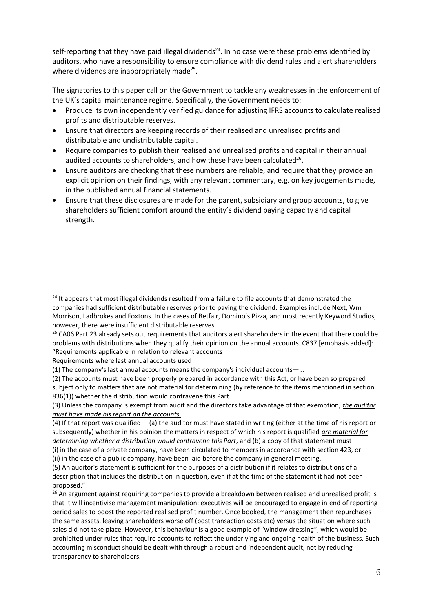self-reporting that they have paid illegal dividends<sup>24</sup>. In no case were these problems identified by auditors, who have a responsibility to ensure compliance with dividend rules and alert shareholders where dividends are inappropriately made<sup>25</sup>.

The signatories to this paper call on the Government to tackle any weaknesses in the enforcement of the UK's capital maintenance regime. Specifically, the Government needs to:

- Produce its own independently verified guidance for adjusting IFRS accounts to calculate realised profits and distributable reserves.
- Ensure that directors are keeping records of their realised and unrealised profits and distributable and undistributable capital.
- Require companies to publish their realised and unrealised profits and capital in their annual audited accounts to shareholders, and how these have been calculated $^{26}$ .
- Ensure auditors are checking that these numbers are reliable, and require that they provide an explicit opinion on their findings, with any relevant commentary, e.g. on key judgements made, in the published annual financial statements.
- Ensure that these disclosures are made for the parent, subsidiary and group accounts, to give shareholders sufficient comfort around the entity's dividend paying capacity and capital strength.

Requirements where last annual accounts used

<u>.</u>

<sup>&</sup>lt;sup>24</sup> It appears that most illegal dividends resulted from a failure to file accounts that demonstrated the companies had sufficient distributable reserves prior to paying the dividend. Examples include Next, Wm Morrison, Ladbrokes and Foxtons. In the cases of Betfair, Domino's Pizza, and most recently Keyword Studios, however, there were insufficient distributable reserves.

<sup>&</sup>lt;sup>25</sup> CA06 Part 23 already sets out requirements that auditors alert shareholders in the event that there could be problems with distributions when they qualify their opinion on the annual accounts. C837 [emphasis added]: "Requirements applicable in relation to relevant accounts

<sup>(1)</sup> The company's last annual accounts means the company's individual accounts—…

<sup>(2)</sup> The accounts must have been properly prepared in accordance with this Act, or have been so prepared subject only to matters that are not material for determining (by reference to the items mentioned in section 836(1)) whether the distribution would contravene this Part.

<sup>(3)</sup> Unless the company is exempt from audit and the directors take advantage of that exemption, *the auditor must have made his report on the accounts.*

<sup>(4)</sup> If that report was qualified— (a) the auditor must have stated in writing (either at the time of his report or subsequently) whether in his opinion the matters in respect of which his report is qualified *are material for determining whether a distribution would contravene this Part*, and (b) a copy of that statement must—

<sup>(</sup>i) in the case of a private company, have been circulated to members in accordance with section 423, or (ii) in the case of a public company, have been laid before the company in general meeting.

<sup>(5)</sup> An auditor's statement is sufficient for the purposes of a distribution if it relates to distributions of a description that includes the distribution in question, even if at the time of the statement it had not been proposed."

<sup>&</sup>lt;sup>26</sup> An argument against requiring companies to provide a breakdown between realised and unrealised profit is that it will incentivise management manipulation: executives will be encouraged to engage in end of reporting period sales to boost the reported realised profit number. Once booked, the management then repurchases the same assets, leaving shareholders worse off (post transaction costs etc) versus the situation where such sales did not take place. However, this behaviour is a good example of "window dressing", which would be prohibited under rules that require accounts to reflect the underlying and ongoing health of the business. Such accounting misconduct should be dealt with through a robust and independent audit, not by reducing transparency to shareholders.